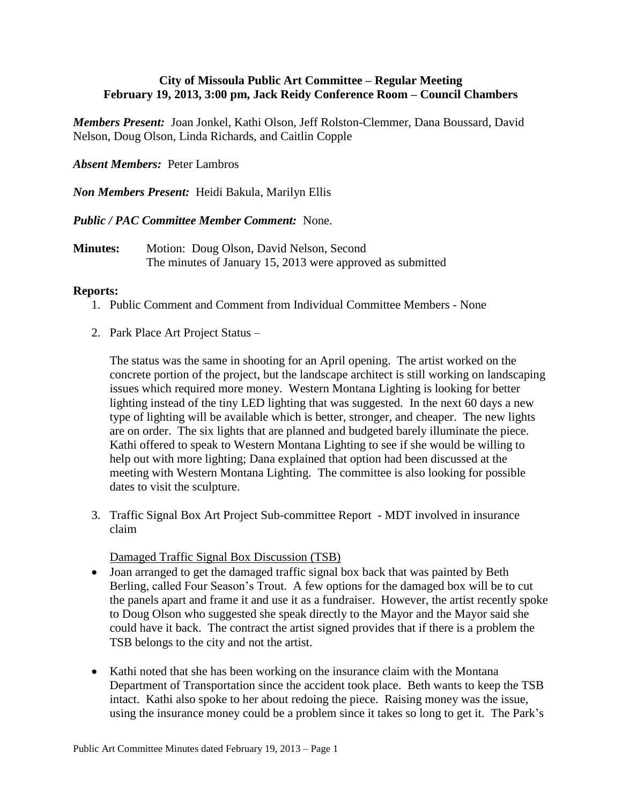## **City of Missoula Public Art Committee – Regular Meeting February 19, 2013, 3:00 pm, Jack Reidy Conference Room – Council Chambers**

*Members Present:* Joan Jonkel, Kathi Olson, Jeff Rolston-Clemmer, Dana Boussard, David Nelson, Doug Olson, Linda Richards, and Caitlin Copple

*Absent Members:* Peter Lambros

*Non Members Present:* Heidi Bakula, Marilyn Ellis

*Public / PAC Committee Member Comment:* None.

**Minutes:** Motion: Doug Olson, David Nelson, Second The minutes of January 15, 2013 were approved as submitted

## **Reports:**

- 1. Public Comment and Comment from Individual Committee Members None
- 2. Park Place Art Project Status –

The status was the same in shooting for an April opening. The artist worked on the concrete portion of the project, but the landscape architect is still working on landscaping issues which required more money. Western Montana Lighting is looking for better lighting instead of the tiny LED lighting that was suggested. In the next 60 days a new type of lighting will be available which is better, stronger, and cheaper. The new lights are on order. The six lights that are planned and budgeted barely illuminate the piece. Kathi offered to speak to Western Montana Lighting to see if she would be willing to help out with more lighting; Dana explained that option had been discussed at the meeting with Western Montana Lighting. The committee is also looking for possible dates to visit the sculpture.

3. Traffic Signal Box Art Project Sub-committee Report - MDT involved in insurance claim

Damaged Traffic Signal Box Discussion (TSB)

- Joan arranged to get the damaged traffic signal box back that was painted by Beth Berling, called Four Season's Trout. A few options for the damaged box will be to cut the panels apart and frame it and use it as a fundraiser. However, the artist recently spoke to Doug Olson who suggested she speak directly to the Mayor and the Mayor said she could have it back. The contract the artist signed provides that if there is a problem the TSB belongs to the city and not the artist.
- Kathi noted that she has been working on the insurance claim with the Montana Department of Transportation since the accident took place. Beth wants to keep the TSB intact. Kathi also spoke to her about redoing the piece. Raising money was the issue, using the insurance money could be a problem since it takes so long to get it. The Park's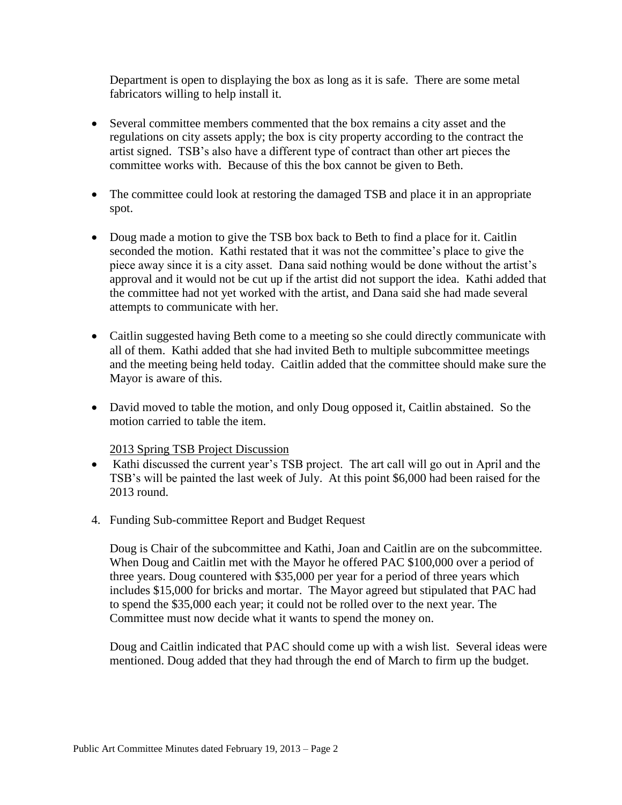Department is open to displaying the box as long as it is safe. There are some metal fabricators willing to help install it.

- Several committee members commented that the box remains a city asset and the regulations on city assets apply; the box is city property according to the contract the artist signed. TSB's also have a different type of contract than other art pieces the committee works with. Because of this the box cannot be given to Beth.
- The committee could look at restoring the damaged TSB and place it in an appropriate spot.
- Doug made a motion to give the TSB box back to Beth to find a place for it. Caitlin seconded the motion. Kathi restated that it was not the committee's place to give the piece away since it is a city asset. Dana said nothing would be done without the artist's approval and it would not be cut up if the artist did not support the idea. Kathi added that the committee had not yet worked with the artist, and Dana said she had made several attempts to communicate with her.
- Caitlin suggested having Beth come to a meeting so she could directly communicate with all of them. Kathi added that she had invited Beth to multiple subcommittee meetings and the meeting being held today. Caitlin added that the committee should make sure the Mayor is aware of this.
- David moved to table the motion, and only Doug opposed it, Caitlin abstained. So the motion carried to table the item.

## 2013 Spring TSB Project Discussion

- Kathi discussed the current year's TSB project. The art call will go out in April and the TSB's will be painted the last week of July. At this point \$6,000 had been raised for the 2013 round.
- 4. Funding Sub-committee Report and Budget Request

Doug is Chair of the subcommittee and Kathi, Joan and Caitlin are on the subcommittee. When Doug and Caitlin met with the Mayor he offered PAC \$100,000 over a period of three years. Doug countered with \$35,000 per year for a period of three years which includes \$15,000 for bricks and mortar. The Mayor agreed but stipulated that PAC had to spend the \$35,000 each year; it could not be rolled over to the next year. The Committee must now decide what it wants to spend the money on.

Doug and Caitlin indicated that PAC should come up with a wish list. Several ideas were mentioned. Doug added that they had through the end of March to firm up the budget.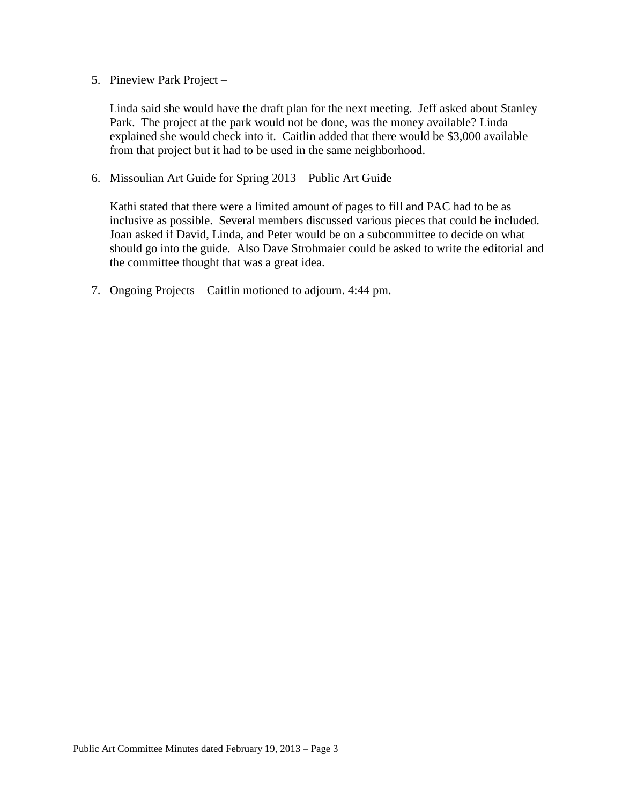5. Pineview Park Project –

Linda said she would have the draft plan for the next meeting. Jeff asked about Stanley Park. The project at the park would not be done, was the money available? Linda explained she would check into it. Caitlin added that there would be \$3,000 available from that project but it had to be used in the same neighborhood.

6. Missoulian Art Guide for Spring 2013 – Public Art Guide

Kathi stated that there were a limited amount of pages to fill and PAC had to be as inclusive as possible. Several members discussed various pieces that could be included. Joan asked if David, Linda, and Peter would be on a subcommittee to decide on what should go into the guide. Also Dave Strohmaier could be asked to write the editorial and the committee thought that was a great idea.

7. Ongoing Projects – Caitlin motioned to adjourn. 4:44 pm.